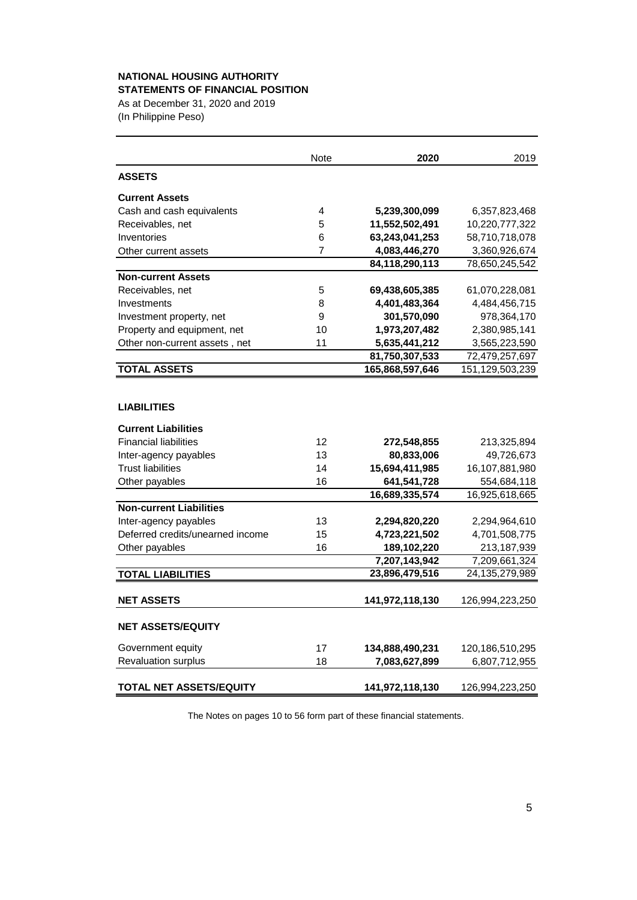#### **NATIONAL HOUSING AUTHORITY STATEMENTS OF FINANCIAL POSITION**

As at December 31, 2020 and 2019

(In Philippine Peso)

|                                  | Note           | 2020            | 2019               |
|----------------------------------|----------------|-----------------|--------------------|
| <b>ASSETS</b>                    |                |                 |                    |
| <b>Current Assets</b>            |                |                 |                    |
| Cash and cash equivalents        | 4              | 5,239,300,099   | 6,357,823,468      |
| Receivables, net                 | 5              | 11,552,502,491  | 10,220,777,322     |
| Inventories                      | 6              | 63,243,041,253  | 58,710,718,078     |
| Other current assets             | $\overline{7}$ | 4,083,446,270   | 3,360,926,674      |
|                                  |                | 84,118,290,113  | 78,650,245,542     |
| <b>Non-current Assets</b>        |                |                 |                    |
| Receivables, net                 | 5              | 69,438,605,385  | 61,070,228,081     |
| Investments                      | 8              | 4,401,483,364   | 4,484,456,715      |
| Investment property, net         | 9              | 301,570,090     | 978,364,170        |
| Property and equipment, net      | 10             | 1,973,207,482   | 2,380,985,141      |
| Other non-current assets, net    | 11             | 5,635,441,212   | 3,565,223,590      |
|                                  |                | 81,750,307,533  | 72,479,257,697     |
| <b>TOTAL ASSETS</b>              |                | 165,868,597,646 | 151, 129, 503, 239 |
|                                  |                |                 |                    |
| <b>LIABILITIES</b>               |                |                 |                    |
| <b>Current Liabilities</b>       |                |                 |                    |
| <b>Financial liabilities</b>     | 12             | 272,548,855     | 213,325,894        |
| Inter-agency payables            | 13             | 80,833,006      | 49,726,673         |
| <b>Trust liabilities</b>         | 14             | 15,694,411,985  | 16,107,881,980     |
| Other payables                   | 16             | 641,541,728     | 554,684,118        |
|                                  |                | 16,689,335,574  | 16,925,618,665     |
| <b>Non-current Liabilities</b>   |                |                 |                    |
| Inter-agency payables            | 13             | 2,294,820,220   | 2,294,964,610      |
| Deferred credits/unearned income | 15             | 4,723,221,502   | 4,701,508,775      |
| Other payables                   | 16             | 189,102,220     | 213,187,939        |
|                                  |                | 7,207,143,942   | 7,209,661,324      |
| <b>TOTAL LIABILITIES</b>         |                | 23,896,479,516  | 24, 135, 279, 989  |
| <b>NET ASSETS</b>                |                | 141,972,118,130 | 126,994,223,250    |
| <b>NET ASSETS/EQUITY</b>         |                |                 |                    |
| Government equity                | 17             | 134,888,490,231 | 120,186,510,295    |
| Revaluation surplus              | 18             | 7,083,627,899   | 6,807,712,955      |
| TOTAL NET ASSETS/EQUITY          |                | 141,972,118,130 | 126,994,223,250    |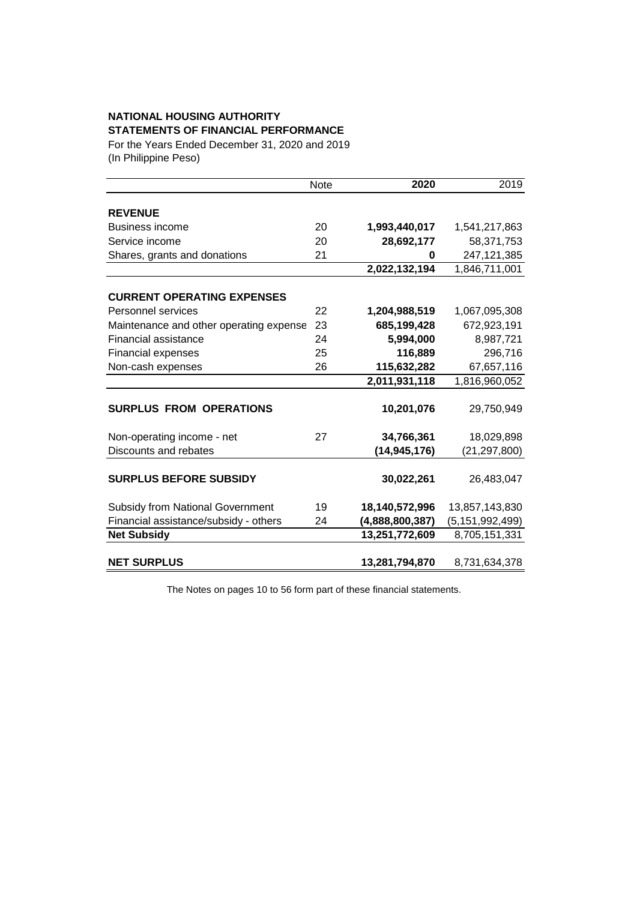# **NATIONAL HOUSING AUTHORITY STATEMENTS OF FINANCIAL PERFORMANCE**

For the Years Ended December 31, 2020 and 2019 (In Philippine Peso)

|                                         | Note | 2020            | 2019               |
|-----------------------------------------|------|-----------------|--------------------|
|                                         |      |                 |                    |
| <b>REVENUE</b>                          |      |                 |                    |
| <b>Business income</b>                  | 20   | 1,993,440,017   | 1,541,217,863      |
| Service income                          | 20   | 28,692,177      | 58,371,753         |
| Shares, grants and donations            | 21   | 0               | 247,121,385        |
|                                         |      | 2,022,132,194   | 1,846,711,001      |
|                                         |      |                 |                    |
| <b>CURRENT OPERATING EXPENSES</b>       |      |                 |                    |
| Personnel services                      | 22   | 1,204,988,519   | 1,067,095,308      |
| Maintenance and other operating expense | 23   | 685,199,428     | 672,923,191        |
| <b>Financial assistance</b>             | 24   | 5,994,000       | 8,987,721          |
| <b>Financial expenses</b>               | 25   | 116,889         | 296,716            |
| Non-cash expenses                       | 26   | 115,632,282     | 67,657,116         |
|                                         |      | 2,011,931,118   | 1,816,960,052      |
|                                         |      |                 |                    |
| <b>SURPLUS FROM OPERATIONS</b>          |      | 10,201,076      | 29,750,949         |
| Non-operating income - net              | 27   | 34,766,361      | 18,029,898         |
| Discounts and rebates                   |      | (14, 945, 176)  | (21,297,800)       |
|                                         |      |                 |                    |
| <b>SURPLUS BEFORE SUBSIDY</b>           |      | 30,022,261      | 26,483,047         |
| <b>Subsidy from National Government</b> | 19   | 18,140,572,996  | 13,857,143,830     |
| Financial assistance/subsidy - others   | 24   | (4,888,800,387) | (5, 151, 992, 499) |
| <b>Net Subsidy</b>                      |      | 13,251,772,609  | 8,705,151,331      |
|                                         |      |                 |                    |
| <b>NET SURPLUS</b>                      |      | 13,281,794,870  | 8,731,634,378      |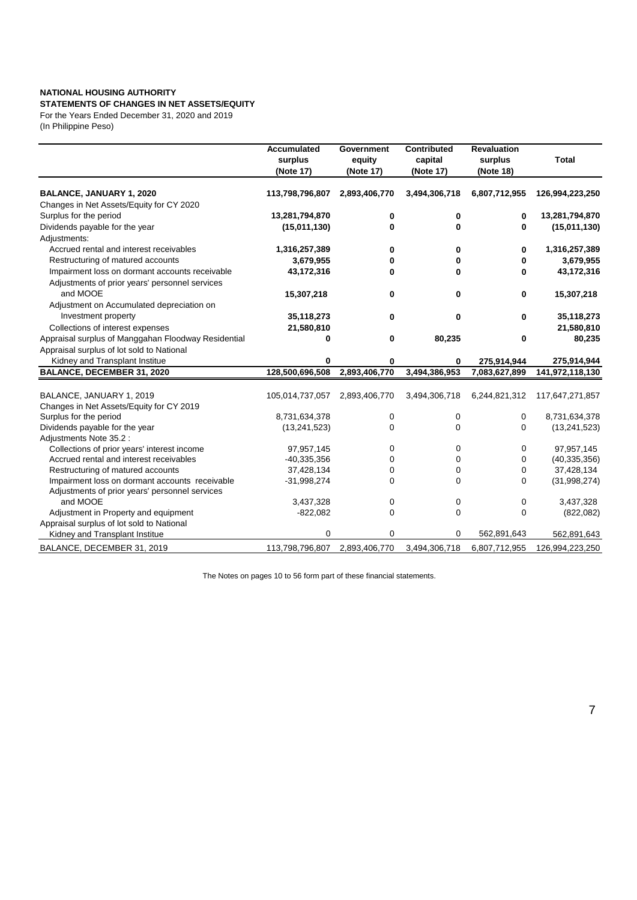#### **NATIONAL HOUSING AUTHORITY STATEMENTS OF CHANGES IN NET ASSETS/EQUITY**

For the Years Ended December 31, 2020 and 2019 (In Philippine Peso)

|                                                                                        | <b>Accumulated</b><br>surplus<br>(Note 17) | <b>Government</b><br>equity<br>(Note 17) | <b>Contributed</b><br>capital<br>(Note 17) | <b>Revaluation</b><br>surplus<br>(Note 18) | <b>Total</b>    |
|----------------------------------------------------------------------------------------|--------------------------------------------|------------------------------------------|--------------------------------------------|--------------------------------------------|-----------------|
| <b>BALANCE, JANUARY 1, 2020</b>                                                        | 113,798,796,807                            | 2,893,406,770                            | 3,494,306,718                              | 6,807,712,955                              | 126,994,223,250 |
| Changes in Net Assets/Equity for CY 2020                                               |                                            |                                          |                                            |                                            |                 |
| Surplus for the period                                                                 | 13,281,794,870                             | 0                                        | 0                                          | 0                                          | 13,281,794,870  |
| Dividends payable for the year<br>Adjustments:                                         | (15,011,130)                               | 0                                        | $\bf{0}$                                   | 0                                          | (15,011,130)    |
| Accrued rental and interest receivables                                                | 1,316,257,389                              | 0                                        | 0                                          | 0                                          | 1,316,257,389   |
| Restructuring of matured accounts                                                      | 3,679,955                                  | 0                                        | 0                                          | 0                                          | 3,679,955       |
| Impairment loss on dormant accounts receivable                                         | 43,172,316                                 | 0                                        | 0                                          | 0                                          | 43,172,316      |
| Adjustments of prior years' personnel services<br>and MOOE                             | 15,307,218                                 | 0                                        | 0                                          | 0                                          | 15,307,218      |
| Adjustment on Accumulated depreciation on                                              |                                            |                                          |                                            |                                            |                 |
| Investment property                                                                    | 35,118,273                                 | 0                                        | 0                                          | 0                                          | 35,118,273      |
| Collections of interest expenses                                                       | 21,580,810                                 |                                          |                                            |                                            | 21,580,810      |
| Appraisal surplus of Manggahan Floodway Residential                                    | 0                                          | 0                                        | 80,235                                     | 0                                          | 80,235          |
| Appraisal surplus of lot sold to National                                              |                                            |                                          |                                            |                                            |                 |
| Kidney and Transplant Institue                                                         | 0                                          | 0                                        | 0                                          | 275,914,944                                | 275,914,944     |
| <b>BALANCE, DECEMBER 31, 2020</b>                                                      | 128,500,696,508                            | 2,893,406,770                            | 3,494,386,953                              | 7,083,627,899                              | 141,972,118,130 |
|                                                                                        |                                            |                                          |                                            |                                            |                 |
| BALANCE, JANUARY 1, 2019                                                               | 105,014,737,057                            | 2,893,406,770                            | 3,494,306,718                              | 6,244,821,312                              | 117,647,271,857 |
| Changes in Net Assets/Equity for CY 2019                                               |                                            |                                          |                                            |                                            |                 |
| Surplus for the period                                                                 | 8,731,634,378                              | 0                                        | 0                                          | 0                                          | 8,731,634,378   |
| Dividends payable for the year                                                         | (13, 241, 523)                             | 0                                        | 0                                          | 0                                          | (13,241,523)    |
| Adjustments Note 35.2 :                                                                | 97,957,145                                 | 0                                        | 0                                          | 0                                          | 97,957,145      |
| Collections of prior years' interest income<br>Accrued rental and interest receivables | $-40,335,356$                              | 0                                        | 0                                          | 0                                          | (40, 335, 356)  |
| Restructuring of matured accounts                                                      | 37,428,134                                 | 0                                        | 0                                          | 0                                          | 37,428,134      |
| Impairment loss on dormant accounts receivable                                         | $-31,998,274$                              | 0                                        | $\Omega$                                   | 0                                          | (31,998,274)    |
| Adjustments of prior years' personnel services                                         |                                            |                                          |                                            |                                            |                 |
| and MOOE                                                                               | 3,437,328                                  | 0                                        | 0                                          | 0                                          | 3,437,328       |
| Adjustment in Property and equipment                                                   | $-822,082$                                 | $\Omega$                                 | 0                                          | 0                                          | (822,082)       |
| Appraisal surplus of lot sold to National                                              |                                            |                                          |                                            |                                            |                 |
| Kidney and Transplant Institue                                                         | 0                                          | $\Omega$                                 | 0                                          | 562,891,643                                | 562,891,643     |
| BALANCE, DECEMBER 31, 2019                                                             | 113,798,796,807                            | 2,893,406,770                            | 3,494,306,718                              | 6,807,712,955                              | 126,994,223,250 |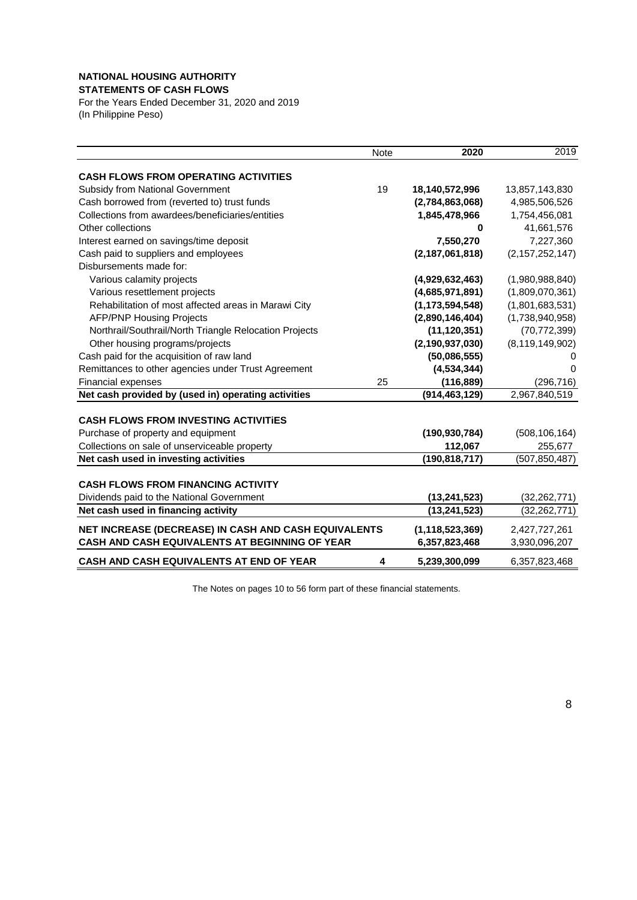### **NATIONAL HOUSING AUTHORITY**

**STATEMENTS OF CASH FLOWS**

For the Years Ended December 31, 2020 and 2019 (In Philippine Peso)

|                                                        | <b>Note</b> | 2020               | 2019                       |
|--------------------------------------------------------|-------------|--------------------|----------------------------|
| <b>CASH FLOWS FROM OPERATING ACTIVITIES</b>            |             |                    |                            |
| Subsidy from National Government                       | 19          | 18,140,572,996     | 13,857,143,830             |
| Cash borrowed from (reverted to) trust funds           |             | (2,784,863,068)    | 4,985,506,526              |
| Collections from awardees/beneficiaries/entities       |             | 1,845,478,966      | 1,754,456,081              |
| Other collections                                      |             | 0                  | 41,661,576                 |
| Interest earned on savings/time deposit                |             | 7,550,270          | 7,227,360                  |
| Cash paid to suppliers and employees                   |             | (2, 187, 061, 818) | (2, 157, 252, 147)         |
| Disbursements made for:                                |             |                    |                            |
| Various calamity projects                              |             | (4,929,632,463)    | (1,980,988,840)            |
| Various resettlement projects                          |             | (4,685,971,891)    | (1,809,070,361)            |
| Rehabilitation of most affected areas in Marawi City   |             | (1, 173, 594, 548) | (1,801,683,531)            |
| <b>AFP/PNP Housing Projects</b>                        |             | (2,890,146,404)    | (1,738,940,958)            |
| Northrail/Southrail/North Triangle Relocation Projects |             | (11, 120, 351)     | (70, 772, 399)             |
| Other housing programs/projects                        |             | (2, 190, 937, 030) | (8, 119, 149, 902)         |
| Cash paid for the acquisition of raw land              |             | (50,086,555)       |                            |
| Remittances to other agencies under Trust Agreement    |             | (4,534,344)        | 0                          |
| Financial expenses                                     | 25          | (116, 889)         | (296, 716)                 |
| Net cash provided by (used in) operating activities    |             | (914, 463, 129)    | 2,967,840,519              |
| <b>CASH FLOWS FROM INVESTING ACTIVITIES</b>            |             |                    |                            |
| Purchase of property and equipment                     |             | (190, 930, 784)    | (508, 106, 164)            |
| Collections on sale of unserviceable property          |             | 112,067            |                            |
| Net cash used in investing activities                  |             | (190, 818, 717)    | 255,677<br>(507, 850, 487) |
|                                                        |             |                    |                            |
| <b>CASH FLOWS FROM FINANCING ACTIVITY</b>              |             |                    |                            |
| Dividends paid to the National Government              |             | (13, 241, 523)     | (32, 262, 771)             |
| Net cash used in financing activity                    |             | (13, 241, 523)     | (32, 262, 771)             |
| NET INCREASE (DECREASE) IN CASH AND CASH EQUIVALENTS   |             | (1, 118, 523, 369) | 2,427,727,261              |
| CASH AND CASH EQUIVALENTS AT BEGINNING OF YEAR         |             | 6,357,823,468      | 3,930,096,207              |
| <b>CASH AND CASH EQUIVALENTS AT END OF YEAR</b>        | 4           | 5,239,300,099      | 6,357,823,468              |